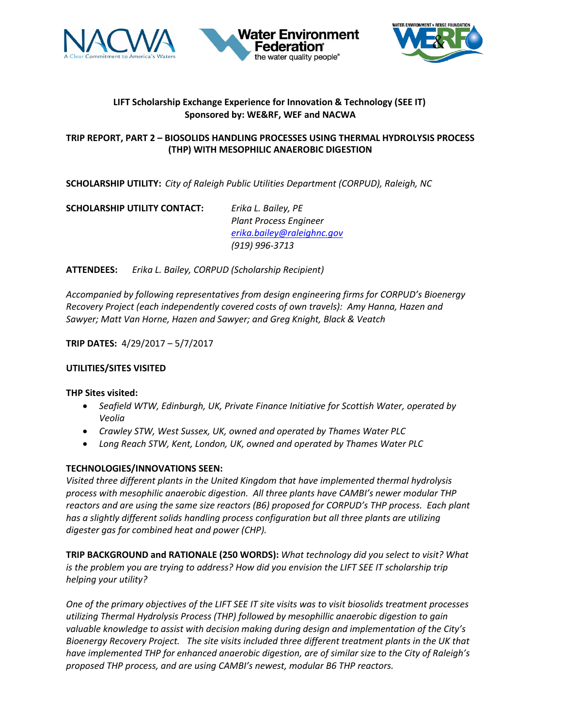





# **LIFT Scholarship Exchange Experience for Innovation & Technology (SEE IT) Sponsored by: WE&RF, WEF and NACWA**

### **TRIP REPORT, PART 2 – BIOSOLIDS HANDLING PROCESSES USING THERMAL HYDROLYSIS PROCESS (THP) WITH MESOPHILIC ANAEROBIC DIGESTION**

**SCHOLARSHIP UTILITY:** *City of Raleigh Public Utilities Department (CORPUD), Raleigh, NC*

**SCHOLARSHIP UTILITY CONTACT:** *Erika L. Bailey, PE*

*Plant Process Engineer [erika.bailey@raleighnc.gov](mailto:erika.bailey@raleighnc.gov) (919) 996-3713*

# **ATTENDEES:** *Erika L. Bailey, CORPUD (Scholarship Recipient)*

*Accompanied by following representatives from design engineering firms for CORPUD's Bioenergy Recovery Project (each independently covered costs of own travels): Amy Hanna, Hazen and Sawyer; Matt Van Horne, Hazen and Sawyer; and Greg Knight, Black & Veatch*

**TRIP DATES:** 4/29/2017 – 5/7/2017

### **UTILITIES/SITES VISITED**

#### **THP Sites visited:**

- *Seafield WTW, Edinburgh, UK, Private Finance Initiative for Scottish Water, operated by Veolia*
- *Crawley STW, West Sussex, UK, owned and operated by Thames Water PLC*
- *Long Reach STW, Kent, London, UK, owned and operated by Thames Water PLC*

#### **TECHNOLOGIES/INNOVATIONS SEEN:**

*Visited three different plants in the United Kingdom that have implemented thermal hydrolysis process with mesophilic anaerobic digestion. All three plants have CAMBI's newer modular THP reactors and are using the same size reactors (B6) proposed for CORPUD's THP process. Each plant has a slightly different solids handling process configuration but all three plants are utilizing digester gas for combined heat and power (CHP).* 

**TRIP BACKGROUND and RATIONALE (250 WORDS):** *What technology did you select to visit? What is the problem you are trying to address? How did you envision the LIFT SEE IT scholarship trip helping your utility?* 

*One of the primary objectives of the LIFT SEE IT site visits was to visit biosolids treatment processes utilizing Thermal Hydrolysis Process (THP) followed by mesophillic anaerobic digestion to gain valuable knowledge to assist with decision making during design and implementation of the City's Bioenergy Recovery Project. The site visits included three different treatment plants in the UK that have implemented THP for enhanced anaerobic digestion, are of similar size to the City of Raleigh's proposed THP process, and are using CAMBI's newest, modular B6 THP reactors.*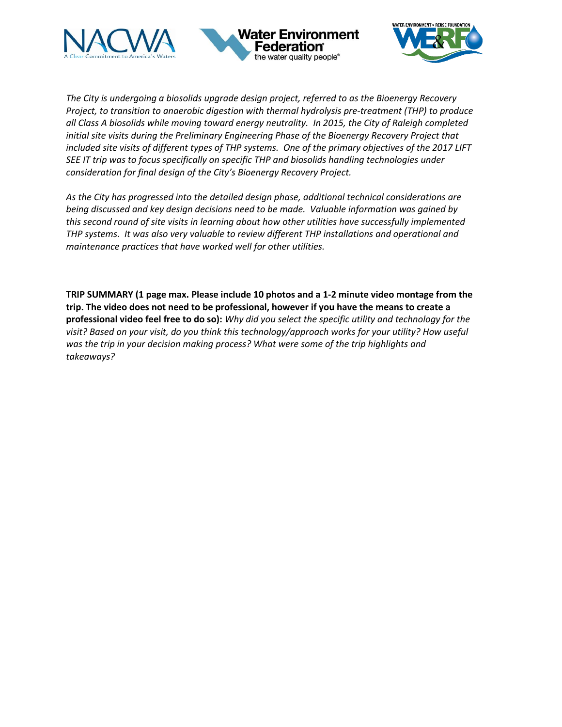





*The City is undergoing a biosolids upgrade design project, referred to as the Bioenergy Recovery Project, to transition to anaerobic digestion with thermal hydrolysis pre-treatment (THP) to produce all Class A biosolids while moving toward energy neutrality. In 2015, the City of Raleigh completed initial site visits during the Preliminary Engineering Phase of the Bioenergy Recovery Project that included site visits of different types of THP systems. One of the primary objectives of the 2017 LIFT SEE IT trip was to focus specifically on specific THP and biosolids handling technologies under consideration for final design of the City's Bioenergy Recovery Project.* 

*As the City has progressed into the detailed design phase, additional technical considerations are being discussed and key design decisions need to be made. Valuable information was gained by this second round of site visits in learning about how other utilities have successfully implemented THP systems. It was also very valuable to review different THP installations and operational and maintenance practices that have worked well for other utilities.* 

**TRIP SUMMARY (1 page max. Please include 10 photos and a 1-2 minute video montage from the trip. The video does not need to be professional, however if you have the means to create a professional video feel free to do so):** *Why did you select the specific utility and technology for the visit? Based on your visit, do you think this technology/approach works for your utility? How useful was the trip in your decision making process? What were some of the trip highlights and takeaways?*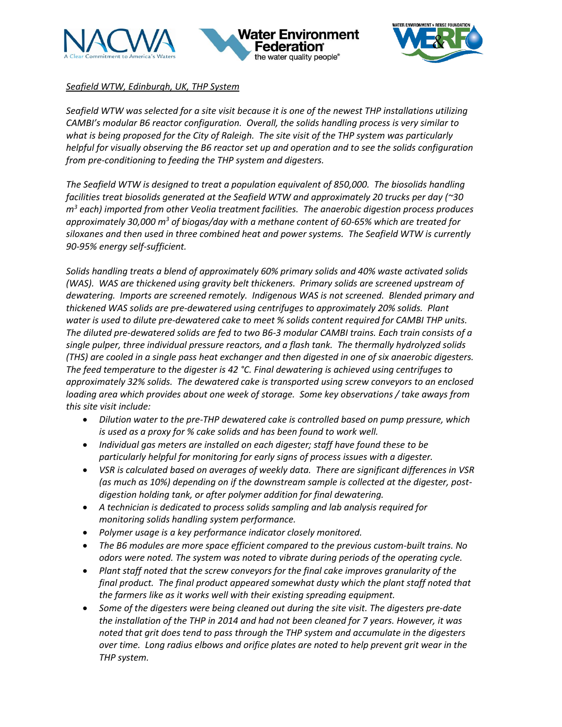





# *Seafield WTW, Edinburgh, UK, THP System*

*Seafield WTW was selected for a site visit because it is one of the newest THP installations utilizing CAMBI's modular B6 reactor configuration. Overall, the solids handling process is very similar to what is being proposed for the City of Raleigh. The site visit of the THP system was particularly helpful for visually observing the B6 reactor set up and operation and to see the solids configuration from pre-conditioning to feeding the THP system and digesters.* 

*The Seafield WTW is designed to treat a population equivalent of 850,000. The biosolids handling facilities treat biosolids generated at the Seafield WTW and approximately 20 trucks per day (~30 m<sup>3</sup> each) imported from other Veolia treatment facilities. The anaerobic digestion process produces approximately 30,000 m<sup>3</sup> of biogas/day with a methane content of 60-65% which are treated for siloxanes and then used in three combined heat and power systems. The Seafield WTW is currently 90-95% energy self-sufficient.* 

*Solids handling treats a blend of approximately 60% primary solids and 40% waste activated solids (WAS). WAS are thickened using gravity belt thickeners. Primary solids are screened upstream of dewatering. Imports are screened remotely. Indigenous WAS is not screened. Blended primary and thickened WAS solids are pre-dewatered using centrifuges to approximately 20% solids. Plant water is used to dilute pre-dewatered cake to meet % solids content required for CAMBI THP units. The diluted pre-dewatered solids are fed to two B6-3 modular CAMBI trains. Each train consists of a single pulper, three individual pressure reactors, and a flash tank. The thermally hydrolyzed solids (THS) are cooled in a single pass heat exchanger and then digested in one of six anaerobic digesters. The feed temperature to the digester is 42 °C. Final dewatering is achieved using centrifuges to approximately 32% solids. The dewatered cake is transported using screw conveyors to an enclosed loading area which provides about one week of storage. Some key observations / take aways from this site visit include:*

- *Dilution water to the pre-THP dewatered cake is controlled based on pump pressure, which is used as a proxy for % cake solids and has been found to work well.*
- *Individual gas meters are installed on each digester; staff have found these to be particularly helpful for monitoring for early signs of process issues with a digester.*
- *VSR is calculated based on averages of weekly data. There are significant differences in VSR (as much as 10%) depending on if the downstream sample is collected at the digester, postdigestion holding tank, or after polymer addition for final dewatering.*
- *A technician is dedicated to process solids sampling and lab analysis required for monitoring solids handling system performance.*
- *Polymer usage is a key performance indicator closely monitored.*
- *The B6 modules are more space efficient compared to the previous custom-built trains. No odors were noted. The system was noted to vibrate during periods of the operating cycle.*
- *Plant staff noted that the screw conveyors for the final cake improves granularity of the final product. The final product appeared somewhat dusty which the plant staff noted that the farmers like as it works well with their existing spreading equipment.*
- *Some of the digesters were being cleaned out during the site visit. The digesters pre-date the installation of the THP in 2014 and had not been cleaned for 7 years. However, it was noted that grit does tend to pass through the THP system and accumulate in the digesters over time. Long radius elbows and orifice plates are noted to help prevent grit wear in the THP system.*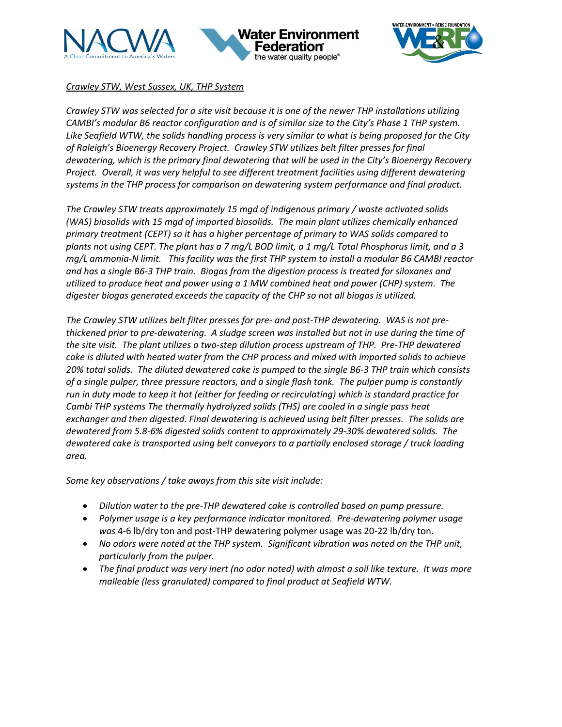





# *Crawley STW, West Sussex, UK, THP System*

*Crawley STW was selected for a site visit because it is one of the newer THP installations utilizing CAMBI's modular B6 reactor configuration and is of similar size to the City's Phase 1 THP system. Like Seafield WTW, the solids handling process is very similar to what is being proposed for the City of Raleigh's Bioenergy Recovery Project. Crawley STW utilizes belt filter presses for final dewatering, which is the primary final dewatering that will be used in the City's Bioenergy Recovery Project. Overall, it was very helpful to see different treatment facilities using different dewatering systems in the THP process for comparison on dewatering system performance and final product.* 

*The Crawley STW treats approximately 15 mgd of indigenous primary / waste activated solids (WAS) biosolids with 15 mgd of imported biosolids. The main plant utilizes chemically enhanced primary treatment (CEPT) so it has a higher percentage of primary to WAS solids compared to plants not using CEPT. The plant has a 7 mg/L BOD limit, a 1 mg/L Total Phosphorus limit, and a 3 mg/L ammonia-N limit. This facility was the first THP system to install a modular B6 CAMBI reactor and has a single B6-3 THP train. Biogas from the digestion process is treated for siloxanes and utilized to produce heat and power using a 1 MW combined heat and power (CHP) system. The digester biogas generated exceeds the capacity of the CHP so not all biogas is utilized.* 

*The Crawley STW utilizes belt filter presses for pre- and post-THP dewatering. WAS is not prethickened prior to pre-dewatering. A sludge screen was installed but not in use during the time of the site visit. The plant utilizes a two-step dilution process upstream of THP. Pre-THP dewatered cake is diluted with heated water from the CHP process and mixed with imported solids to achieve 20% total solids. The diluted dewatered cake is pumped to the single B6-3 THP train which consists of a single pulper, three pressure reactors, and a single flash tank. The pulper pump is constantly run in duty mode to keep it hot (either for feeding or recirculating) which is standard practice for Cambi THP systems The thermally hydrolyzed solids (THS) are cooled in a single pass heat exchanger and then digested. Final dewatering is achieved using belt filter presses. The solids are dewatered from 5.8-6% digested solids content to approximately 29-30% dewatered solids. The dewatered cake is transported using belt conveyors to a partially enclosed storage / truck loading area.* 

*Some key observations / take aways from this site visit include:*

- *Dilution water to the pre-THP dewatered cake is controlled based on pump pressure.*
- *Polymer usage is a key performance indicator monitored. Pre-dewatering polymer usage was* 4-6 lb/dry ton and post-THP dewatering polymer usage was 20-22 lb/dry ton.
- *No odors were noted at the THP system. Significant vibration was noted on the THP unit, particularly from the pulper.*
- *The final product was very inert (no odor noted) with almost a soil like texture. It was more malleable (less granulated) compared to final product at Seafield WTW.*